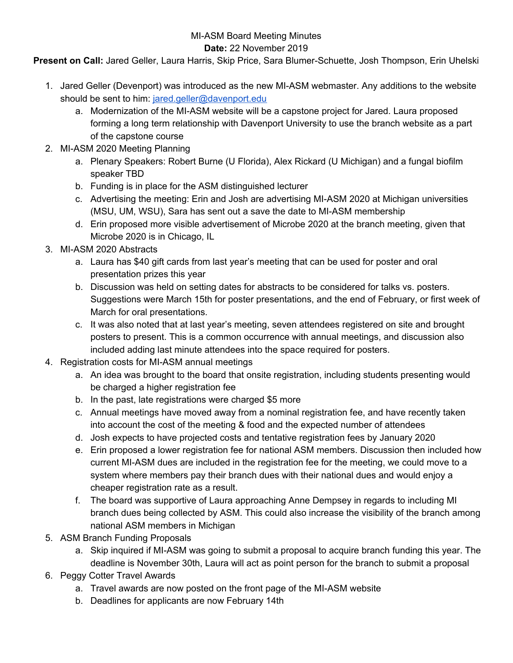## MI-ASM Board Meeting Minutes

## **Date:** 22 November 2019

**Present on Call:** Jared Geller, Laura Harris, Skip Price, Sara Blumer-Schuette, Josh Thompson, Erin Uhelski

- 1. Jared Geller (Devenport) was introduced as the new MI-ASM webmaster. Any additions to the website should be sent to him: [jared.geller@davenport.edu](mailto:jared.geller@davenport.edu)
	- a. Modernization of the MI-ASM website will be a capstone project for Jared. Laura proposed forming a long term relationship with Davenport University to use the branch website as a part of the capstone course
- 2. MI-ASM 2020 Meeting Planning
	- a. Plenary Speakers: Robert Burne (U Florida), Alex Rickard (U Michigan) and a fungal biofilm speaker TBD
	- b. Funding is in place for the ASM distinguished lecturer
	- c. Advertising the meeting: Erin and Josh are advertising MI-ASM 2020 at Michigan universities (MSU, UM, WSU), Sara has sent out a save the date to MI-ASM membership
	- d. Erin proposed more visible advertisement of Microbe 2020 at the branch meeting, given that Microbe 2020 is in Chicago, IL
- 3. MI-ASM 2020 Abstracts
	- a. Laura has \$40 gift cards from last year's meeting that can be used for poster and oral presentation prizes this year
	- b. Discussion was held on setting dates for abstracts to be considered for talks vs. posters. Suggestions were March 15th for poster presentations, and the end of February, or first week of March for oral presentations.
	- c. It was also noted that at last year's meeting, seven attendees registered on site and brought posters to present. This is a common occurrence with annual meetings, and discussion also included adding last minute attendees into the space required for posters.
- 4. Registration costs for MI-ASM annual meetings
	- a. An idea was brought to the board that onsite registration, including students presenting would be charged a higher registration fee
	- b. In the past, late registrations were charged \$5 more
	- c. Annual meetings have moved away from a nominal registration fee, and have recently taken into account the cost of the meeting & food and the expected number of attendees
	- d. Josh expects to have projected costs and tentative registration fees by January 2020
	- e. Erin proposed a lower registration fee for national ASM members. Discussion then included how current MI-ASM dues are included in the registration fee for the meeting, we could move to a system where members pay their branch dues with their national dues and would enjoy a cheaper registration rate as a result.
	- f. The board was supportive of Laura approaching Anne Dempsey in regards to including MI branch dues being collected by ASM. This could also increase the visibility of the branch among national ASM members in Michigan
- 5. ASM Branch Funding Proposals
	- a. Skip inquired if MI-ASM was going to submit a proposal to acquire branch funding this year. The deadline is November 30th, Laura will act as point person for the branch to submit a proposal
- 6. Peggy Cotter Travel Awards
	- a. Travel awards are now posted on the front page of the MI-ASM website
	- b. Deadlines for applicants are now February 14th